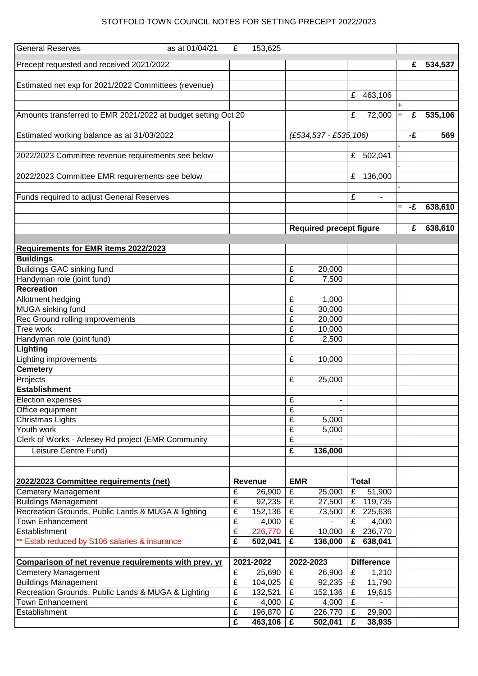## STOTFOLD TOWN COUNCIL NOTES FOR SETTING PRECEPT 2022/2023

| <b>General Reserves</b><br>as at 01/04/21                     | £              | 153,625 |                |                                |                   |              |     |    |         |
|---------------------------------------------------------------|----------------|---------|----------------|--------------------------------|-------------------|--------------|-----|----|---------|
|                                                               |                |         |                |                                |                   |              |     |    |         |
| Precept requested and received 2021/2022                      |                |         |                |                                |                   |              |     | £  | 534,537 |
|                                                               |                |         |                |                                |                   |              |     |    |         |
| Estimated net exp for 2021/2022 Committees (revenue)          |                |         |                |                                |                   |              |     |    |         |
|                                                               |                |         |                |                                | £                 | 463,106      |     |    |         |
|                                                               |                |         |                |                                |                   |              |     |    |         |
| Amounts transferred to EMR 2021/2022 at budget setting Oct 20 |                |         |                |                                | £                 | 72,000       | $=$ | £  | 535,106 |
|                                                               |                |         |                |                                |                   |              |     |    |         |
| Estimated working balance as at 31/03/2022                    |                |         |                | (£534,537 - £535,106)          |                   |              |     | -£ | 569     |
|                                                               |                |         |                |                                |                   |              |     |    |         |
| 2022/2023 Committee revenue requirements see below            |                |         |                |                                | £                 | 502,041      |     |    |         |
|                                                               |                |         |                |                                |                   |              |     |    |         |
| 2022/2023 Committee EMR requirements see below                |                |         |                |                                | £                 | 136,000      |     |    |         |
|                                                               |                |         |                |                                |                   |              |     |    |         |
| Funds required to adjust General Reserves                     |                |         |                |                                | £                 |              |     |    |         |
|                                                               |                |         |                |                                |                   |              | $=$ | -£ | 638,610 |
|                                                               |                |         |                |                                |                   |              |     |    |         |
|                                                               |                |         |                | <b>Required precept figure</b> |                   |              |     | £  | 638,610 |
|                                                               |                |         |                |                                |                   |              |     |    |         |
| Requirements for EMR items 2022/2023                          |                |         |                |                                |                   |              |     |    |         |
| <b>Buildings</b>                                              |                |         |                |                                |                   |              |     |    |         |
| <b>Buildings GAC sinking fund</b>                             |                |         | £              | 20,000                         |                   |              |     |    |         |
| Handyman role (joint fund)                                    |                |         | £              | 7,500                          |                   |              |     |    |         |
| <b>Recreation</b>                                             |                |         |                |                                |                   |              |     |    |         |
| Allotment hedging                                             |                |         | £              | 1,000                          |                   |              |     |    |         |
| <b>MUGA sinking fund</b>                                      |                |         | £              | 30,000                         |                   |              |     |    |         |
| Rec Ground rolling improvements                               |                |         | £              | 20,000                         |                   |              |     |    |         |
| Tree work                                                     |                |         | £              | 10,000                         |                   |              |     |    |         |
| Handyman role (joint fund)                                    |                |         | £              | 2,500                          |                   |              |     |    |         |
| Lighting                                                      |                |         |                |                                |                   |              |     |    |         |
| Lighting improvements                                         |                |         | £              | 10,000                         |                   |              |     |    |         |
| Cemetery                                                      |                |         |                |                                |                   |              |     |    |         |
| Projects                                                      |                |         | £              | 25,000                         |                   |              |     |    |         |
| <b>Establishment</b>                                          |                |         |                |                                |                   |              |     |    |         |
| Election expenses                                             |                |         | £              |                                |                   |              |     |    |         |
| Office equipment                                              |                |         | £              |                                |                   |              |     |    |         |
| Christmas Lights                                              |                |         | £              | 5,000                          |                   |              |     |    |         |
| Youth work                                                    |                |         | £              | 5,000                          |                   |              |     |    |         |
| Clerk of Works - Arlesey Rd project (EMR Community            |                |         | $\overline{f}$ |                                |                   |              |     |    |         |
| Leisure Centre Fund)                                          |                |         | £              | 136,000                        |                   |              |     |    |         |
|                                                               |                |         |                |                                |                   |              |     |    |         |
|                                                               |                |         |                |                                |                   |              |     |    |         |
| 2022/2023 Committee requirements (net)                        |                | Revenue | <b>EMR</b>     |                                |                   | <b>Total</b> |     |    |         |
| <b>Cemetery Management</b>                                    | £              | 26,900  | £              | 25,000                         | £                 | 51,900       |     |    |         |
| <b>Buildings Management</b>                                   | £              | 92,235  | £              | 27,500                         | £                 | 119,735      |     |    |         |
| Recreation Grounds, Public Lands & MUGA & lighting            | £              | 152,136 | £              | 73,500                         | £                 | 225,636      |     |    |         |
| <b>Town Enhancement</b>                                       | £              | 4,000   | £              |                                | £                 | 4,000        |     |    |         |
| Establishment                                                 | £              | 226,770 | £              | 10,000                         | £                 | 236,770      |     |    |         |
| ** Estab reduced by S106 salaries & insurance                 | £              | 502,041 | £              | 136,000                        | £                 | 638,041      |     |    |         |
|                                                               |                |         |                |                                |                   |              |     |    |         |
| Comparison of net revenue requirements with prev. yr          | 2021-2022      |         | 2022-2023      |                                | <b>Difference</b> |              |     |    |         |
| <b>Cemetery Management</b>                                    | £              | 25,690  | £              | 26,900                         | £                 | 1,210        |     |    |         |
| <b>Buildings Management</b>                                   | £              | 104,025 | £              | 92,235                         | l-£               | 11,790       |     |    |         |
| Recreation Grounds, Public Lands & MUGA & Lighting            | £              | 132,521 | £              | 152,136                        | £                 | 19,615       |     |    |         |
| <b>Town Enhancement</b>                                       | $\overline{f}$ | 4,000   | £              | 4,000                          | £                 |              |     |    |         |
| Establishment                                                 | $\overline{f}$ | 196,870 | £              | 226,770                        | £                 | 29,900       |     |    |         |
|                                                               | $\overline{f}$ | 463,106 | £              | 502,041                        | £                 | 38,935       |     |    |         |
|                                                               |                |         |                |                                |                   |              |     |    |         |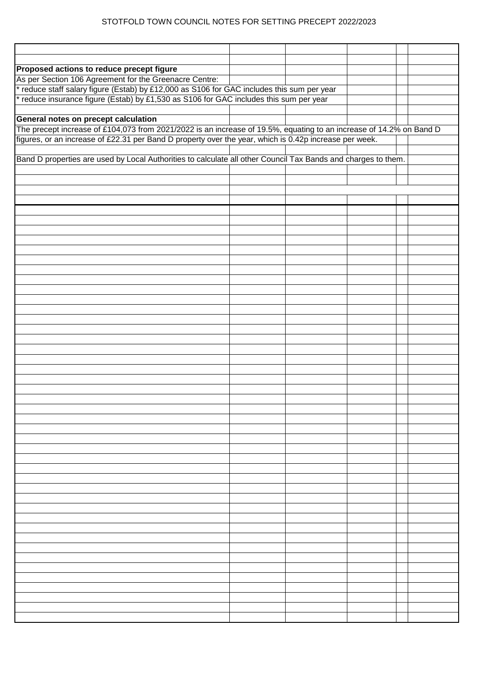## STOTFOLD TOWN COUNCIL NOTES FOR SETTING PRECEPT 2022/2023

| Proposed actions to reduce precept figure                                                                           |  |  |  |
|---------------------------------------------------------------------------------------------------------------------|--|--|--|
| As per Section 106 Agreement for the Greenacre Centre:                                                              |  |  |  |
| reduce staff salary figure (Estab) by £12,000 as S106 for GAC includes this sum per year                            |  |  |  |
| reduce insurance figure (Estab) by £1,530 as S106 for GAC includes this sum per year                                |  |  |  |
|                                                                                                                     |  |  |  |
| General notes on precept calculation                                                                                |  |  |  |
| The precept increase of £104,073 from 2021/2022 is an increase of 19.5%, equating to an increase of 14.2% on Band D |  |  |  |
| figures, or an increase of £22.31 per Band D property over the year, which is 0.42p increase per week.              |  |  |  |
|                                                                                                                     |  |  |  |
| Band D properties are used by Local Authorities to calculate all other Council Tax Bands and charges to them.       |  |  |  |
|                                                                                                                     |  |  |  |
|                                                                                                                     |  |  |  |
|                                                                                                                     |  |  |  |
|                                                                                                                     |  |  |  |
|                                                                                                                     |  |  |  |
|                                                                                                                     |  |  |  |
|                                                                                                                     |  |  |  |
|                                                                                                                     |  |  |  |
|                                                                                                                     |  |  |  |
|                                                                                                                     |  |  |  |
|                                                                                                                     |  |  |  |
|                                                                                                                     |  |  |  |
|                                                                                                                     |  |  |  |
|                                                                                                                     |  |  |  |
|                                                                                                                     |  |  |  |
|                                                                                                                     |  |  |  |
|                                                                                                                     |  |  |  |
|                                                                                                                     |  |  |  |
|                                                                                                                     |  |  |  |
|                                                                                                                     |  |  |  |
|                                                                                                                     |  |  |  |
|                                                                                                                     |  |  |  |
|                                                                                                                     |  |  |  |
|                                                                                                                     |  |  |  |
|                                                                                                                     |  |  |  |
|                                                                                                                     |  |  |  |
|                                                                                                                     |  |  |  |
|                                                                                                                     |  |  |  |
|                                                                                                                     |  |  |  |
|                                                                                                                     |  |  |  |
|                                                                                                                     |  |  |  |
|                                                                                                                     |  |  |  |
|                                                                                                                     |  |  |  |
|                                                                                                                     |  |  |  |
|                                                                                                                     |  |  |  |
|                                                                                                                     |  |  |  |
|                                                                                                                     |  |  |  |
|                                                                                                                     |  |  |  |
|                                                                                                                     |  |  |  |
|                                                                                                                     |  |  |  |
|                                                                                                                     |  |  |  |
|                                                                                                                     |  |  |  |
|                                                                                                                     |  |  |  |
|                                                                                                                     |  |  |  |
|                                                                                                                     |  |  |  |
|                                                                                                                     |  |  |  |
|                                                                                                                     |  |  |  |